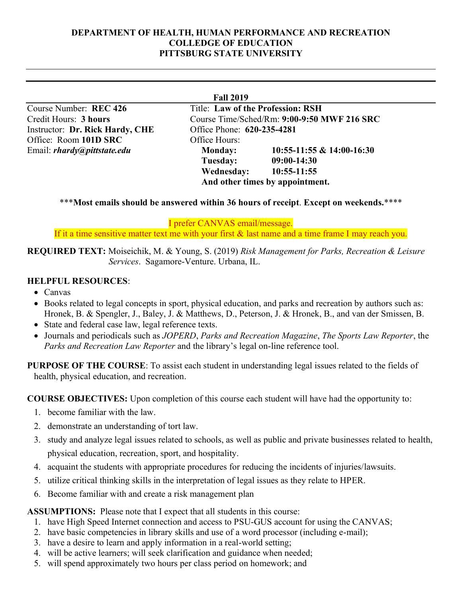#### **DEPARTMENT OF HEALTH, HUMAN PERFORMANCE AND RECREATION COLLEDGE OF EDUCATION PITTSBURG STATE UNIVERSITY**

Instructor: **Dr. Rick Hardy, CHE** Office Phone: **620-235-4281** Office: Room **101D SRC** Office Hours:

**Fall 2019** Course Number: **REC 426** Title: **Law of the Profession: RSH** Credit Hours: **3 hours** Course Time/Sched/Rm: **9:00-9:50 MWF 216 SRC** Email: *rhardy@pittstate.edu* **Monday: 10:55-11:55 & 14:00-16:30 Tuesday: 09:00-14:30 Wednesday: 10:55-11:55 And other times by appointment.**

#### \*\*\***Most emails should be answered within 36 hours of receipt**. **Except on weekends.**\*\*\*\*

I prefer CANVAS email/message.

If it a time sensitive matter text me with your first & last name and a time frame I may reach you.

**REQUIRED TEXT:** Moiseichik, M. & Young, S. (2019) *Risk Management for Parks, Recreation & Leisure Services*. Sagamore-Venture. Urbana, IL.

## **HELPFUL RESOURCES**:

- Canvas
- Books related to legal concepts in sport, physical education, and parks and recreation by authors such as: Hronek, B. & Spengler, J., Baley, J. & Matthews, D., Peterson, J. & Hronek, B., and van der Smissen, B.
- State and federal case law, legal reference texts.
- Journals and periodicals such as *JOPERD*, *Parks and Recreation Magazine*, *The Sports Law Reporter*, the *Parks and Recreation Law Reporter* and the library's legal on-line reference tool.

**PURPOSE OF THE COURSE**: To assist each student in understanding legal issues related to the fields of health, physical education, and recreation.

**COURSE OBJECTIVES:** Upon completion of this course each student will have had the opportunity to:

- 1. become familiar with the law.
- 2. demonstrate an understanding of tort law.
- 3. study and analyze legal issues related to schools, as well as public and private businesses related to health, physical education, recreation, sport, and hospitality.
- 4. acquaint the students with appropriate procedures for reducing the incidents of injuries/lawsuits.
- 5. utilize critical thinking skills in the interpretation of legal issues as they relate to HPER.
- 6. Become familiar with and create a risk management plan

**ASSUMPTIONS:** Please note that I expect that all students in this course:

- 1. have High Speed Internet connection and access to PSU-GUS account for using the CANVAS;
- 2. have basic competencies in library skills and use of a word processor (including e-mail);
- 3. have a desire to learn and apply information in a real-world setting;
- 4. will be active learners; will seek clarification and guidance when needed;
- 5. will spend approximately two hours per class period on homework; and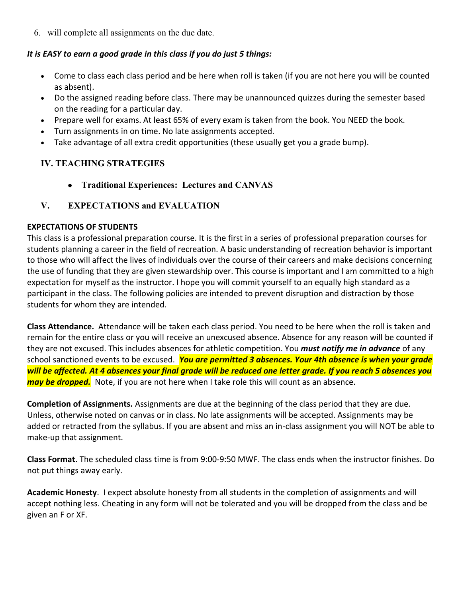6. will complete all assignments on the due date.

#### *It is EASY to earn a good grade in this class if you do just 5 things:*

- Come to class each class period and be here when roll is taken (if you are not here you will be counted as absent).
- Do the assigned reading before class. There may be unannounced quizzes during the semester based on the reading for a particular day.
- Prepare well for exams. At least 65% of every exam is taken from the book. You NEED the book.
- Turn assignments in on time. No late assignments accepted.
- Take advantage of all extra credit opportunities (these usually get you a grade bump).

## **IV. TEACHING STRATEGIES**

• **Traditional Experiences: Lectures and CANVAS**

## **V. EXPECTATIONS and EVALUATION**

#### **EXPECTATIONS OF STUDENTS**

This class is a professional preparation course. It is the first in a series of professional preparation courses for students planning a career in the field of recreation. A basic understanding of recreation behavior is important to those who will affect the lives of individuals over the course of their careers and make decisions concerning the use of funding that they are given stewardship over. This course is important and I am committed to a high expectation for myself as the instructor. I hope you will commit yourself to an equally high standard as a participant in the class. The following policies are intended to prevent disruption and distraction by those students for whom they are intended.

**Class Attendance.** Attendance will be taken each class period. You need to be here when the roll is taken and remain for the entire class or you will receive an unexcused absence. Absence for any reason will be counted if they are not excused. This includes absences for athletic competition. You *must notify me in advance* of any school sanctioned events to be excused. *You are permitted 3 absences. Your 4th absence is when your grade will be affected. At 4 absences your final grade will be reduced one letter grade. If you reach 5 absences you may be dropped.* Note, if you are not here when I take role this will count as an absence.

**Completion of Assignments.** Assignments are due at the beginning of the class period that they are due. Unless, otherwise noted on canvas or in class. No late assignments will be accepted. Assignments may be added or retracted from the syllabus. If you are absent and miss an in-class assignment you will NOT be able to make-up that assignment.

**Class Format**. The scheduled class time is from 9:00-9:50 MWF. The class ends when the instructor finishes. Do not put things away early.

**Academic Honesty**. I expect absolute honesty from all students in the completion of assignments and will accept nothing less. Cheating in any form will not be tolerated and you will be dropped from the class and be given an F or XF.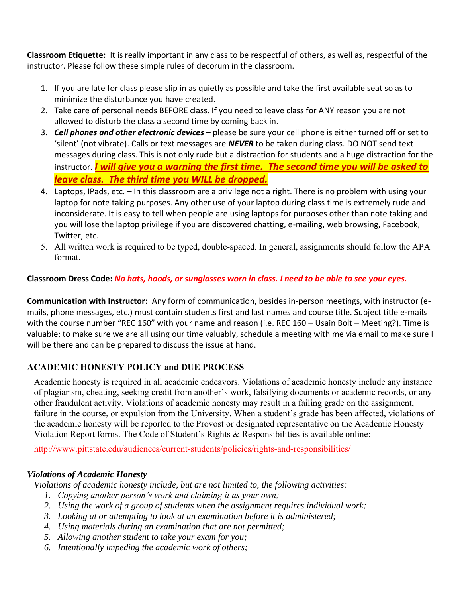**Classroom Etiquette:** It is really important in any class to be respectful of others, as well as, respectful of the instructor. Please follow these simple rules of decorum in the classroom.

- 1. If you are late for class please slip in as quietly as possible and take the first available seat so as to minimize the disturbance you have created.
- 2. Take care of personal needs BEFORE class. If you need to leave class for ANY reason you are not allowed to disturb the class a second time by coming back in.
- 3. *Cell phones and other electronic devices* please be sure your cell phone is either turned off or set to 'silent' (not vibrate). Calls or text messages are *NEVER* to be taken during class. DO NOT send text messages during class. This is not only rude but a distraction for students and a huge distraction for the instructor. *I will give you a warning the first time. The second time you will be asked to leave class. The third time you WILL be dropped.*
- 4. Laptops, IPads, etc. In this classroom are a privilege not a right. There is no problem with using your laptop for note taking purposes. Any other use of your laptop during class time is extremely rude and inconsiderate. It is easy to tell when people are using laptops for purposes other than note taking and you will lose the laptop privilege if you are discovered chatting, e-mailing, web browsing, Facebook, Twitter, etc.
- 5. All written work is required to be typed, double-spaced. In general, assignments should follow the APA format.

## **Classroom Dress Code:** *No hats, hoods, or sunglasses worn in class. I need to be able to see your eyes.*

**Communication with Instructor:** Any form of communication, besides in-person meetings, with instructor (emails, phone messages, etc.) must contain students first and last names and course title. Subject title e-mails with the course number "REC 160" with your name and reason (i.e. REC 160 – Usain Bolt – Meeting?). Time is valuable; to make sure we are all using our time valuably, schedule a meeting with me via email to make sure I will be there and can be prepared to discuss the issue at hand.

## **ACADEMIC HONESTY POLICY and DUE PROCESS**

Academic honesty is required in all academic endeavors. Violations of academic honesty include any instance of plagiarism, cheating, seeking credit from another's work, falsifying documents or academic records, or any other fraudulent activity. Violations of academic honesty may result in a failing grade on the assignment, failure in the course, or expulsion from the University. When a student's grade has been affected, violations of the academic honesty will be reported to the Provost or designated representative on the Academic Honesty Violation Report forms. The Code of Student's Rights & Responsibilities is available online:

http://www.pittstate.edu/audiences/current-students/policies/rights-and-responsibilities/

#### *Violations of Academic Honesty*

*Violations of academic honesty include, but are not limited to, the following activities:* 

- *1. Copying another person's work and claiming it as your own;*
- *2. Using the work of a group of students when the assignment requires individual work;*
- *3. Looking at or attempting to look at an examination before it is administered;*
- *4. Using materials during an examination that are not permitted;*
- *5. Allowing another student to take your exam for you;*
- *6. Intentionally impeding the academic work of others;*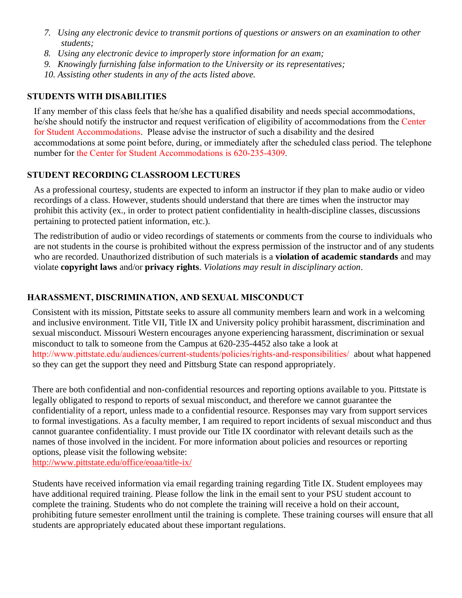- *7. Using any electronic device to transmit portions of questions or answers on an examination to other students;*
- *8. Using any electronic device to improperly store information for an exam;*
- *9. Knowingly furnishing false information to the University or its representatives;*
- *10. Assisting other students in any of the acts listed above.*

### **STUDENTS WITH DISABILITIES**

If any member of this class feels that he/she has a qualified disability and needs special accommodations, he/she should notify the instructor and request verification of eligibility of accommodations from the Center for Student Accommodations. Please advise the instructor of such a disability and the desired accommodations at some point before, during, or immediately after the scheduled class period. The telephone number for the Center for Student Accommodations is 620-235-4309.

## **STUDENT RECORDING CLASSROOM LECTURES**

As a professional courtesy, students are expected to inform an instructor if they plan to make audio or video recordings of a class. However, students should understand that there are times when the instructor may prohibit this activity (ex., in order to protect patient confidentiality in health-discipline classes, discussions pertaining to protected patient information, etc.).

The redistribution of audio or video recordings of statements or comments from the course to individuals who are not students in the course is prohibited without the express permission of the instructor and of any students who are recorded. Unauthorized distribution of such materials is a **violation of academic standards** and may violate **copyright laws** and/or **privacy rights**. *Violations may result in disciplinary action*.

### **HARASSMENT, DISCRIMINATION, AND SEXUAL MISCONDUCT**

Consistent with its mission, Pittstate seeks to assure all community members learn and work in a welcoming and inclusive environment. Title VII, Title IX and University policy prohibit harassment, discrimination and sexual misconduct. Missouri Western encourages anyone experiencing harassment, discrimination or sexual misconduct to talk to someone from the Campus at 620-235-4452 also take a look at http://www.pittstate.edu/audiences/current-students/policies/rights-and-responsibilities/ about what happened so they can get the support they need and Pittsburg State can respond appropriately.

There are both confidential and non-confidential resources and reporting options available to you. Pittstate is legally obligated to respond to reports of sexual misconduct, and therefore we cannot guarantee the confidentiality of a report, unless made to a confidential resource. Responses may vary from support services to formal investigations. As a faculty member, I am required to report incidents of sexual misconduct and thus cannot guarantee confidentiality. I must provide our Title IX coordinator with relevant details such as the names of those involved in the incident. For more information about policies and resources or reporting options, please visit the following website:

http://www.pittstate.edu/office/eoaa/title-ix/

Students have received information via email regarding training regarding Title IX. Student employees may have additional required training. Please follow the link in the email sent to your PSU student account to complete the training. Students who do not complete the training will receive a hold on their account, prohibiting future semester enrollment until the training is complete. These training courses will ensure that all students are appropriately educated about these important regulations.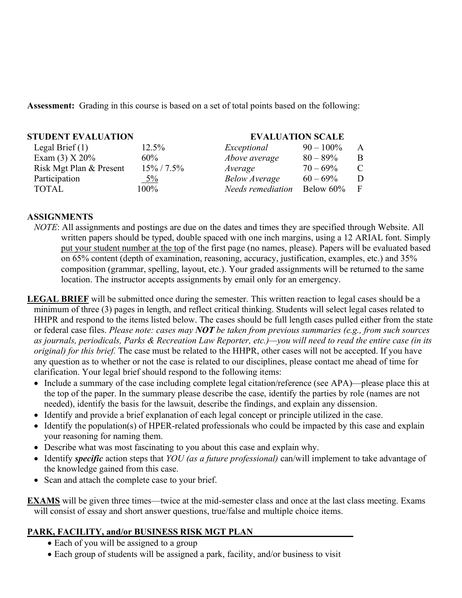**Assessment:** Grading in this course is based on a set of total points based on the following:

| <b>STUDENT EVALUATION</b> |                      | <b>EVALUATION SCALE</b> |   |  |
|---------------------------|----------------------|-------------------------|---|--|
| 12.5%                     | Exceptional          | $90 - 100\%$            | A |  |
| $60\%$                    | Above average        | $80 - 89\%$             | B |  |
| $15\% / 7.5\%$            | Average              | $70 - 69\%$             | C |  |
| $5\%$                     | <b>Below Average</b> | $60 - 69\%$             | D |  |
| $100\%$                   | Needs remediation    | Below 60%               | F |  |
|                           |                      |                         |   |  |

#### **ASSIGNMENTS**

*NOTE*: All assignments and postings are due on the dates and times they are specified through Website. All written papers should be typed, double spaced with one inch margins, using a 12 ARIAL font. Simply put your student number at the top of the first page (no names, please). Papers will be evaluated based on 65% content (depth of examination, reasoning, accuracy, justification, examples, etc.) and 35% composition (grammar, spelling, layout, etc.). Your graded assignments will be returned to the same location. The instructor accepts assignments by email only for an emergency.

**LEGAL BRIEF** will be submitted once during the semester. This written reaction to legal cases should be a minimum of three (3) pages in length, and reflect critical thinking. Students will select legal cases related to HHPR and respond to the items listed below. The cases should be full length cases pulled either from the state or federal case files. *Please note: cases may NOT be taken from previous summaries (e.g., from such sources as journals, periodicals, Parks & Recreation Law Reporter, etc.)—you will need to read the entire case (in its original) for this brief.* The case must be related to the HHPR, other cases will not be accepted. If you have any question as to whether or not the case is related to our disciplines, please contact me ahead of time for clarification. Your legal brief should respond to the following items:

- Include a summary of the case including complete legal citation/reference (see APA)—please place this at the top of the paper. In the summary please describe the case, identify the parties by role (names are not needed), identify the basis for the lawsuit, describe the findings, and explain any dissension.
- Identify and provide a brief explanation of each legal concept or principle utilized in the case.
- Identify the population(s) of HPER-related professionals who could be impacted by this case and explain your reasoning for naming them.
- Describe what was most fascinating to you about this case and explain why.
- Identify *specific* action steps that *YOU (as a future professional)* can/will implement to take advantage of the knowledge gained from this case.
- Scan and attach the complete case to your brief.

**EXAMS** will be given three times—twice at the mid-semester class and once at the last class meeting. Exams will consist of essay and short answer questions, true/false and multiple choice items.

## **PARK, FACILITY, and/or BUSINESS RISK MGT PLAN**

- Each of you will be assigned to a group
- Each group of students will be assigned a park, facility, and/or business to visit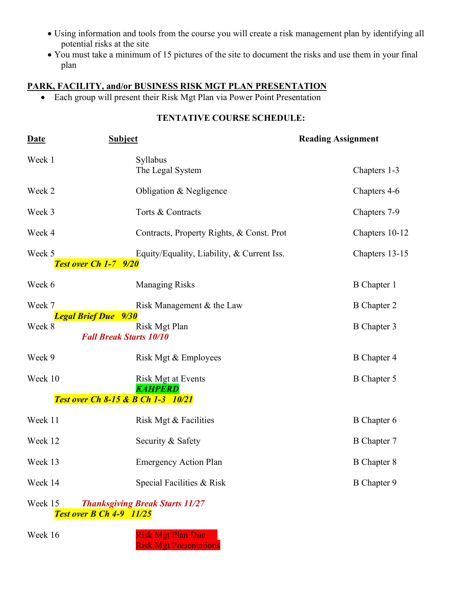- Using information and tools from the course you will create a risk management plan by identifying all potential risks at the site
- You must take a minimum of 15 pictures of the site to document the risks and use them in your final plan

# **PARK, FACILITY, and/or BUSINESS RISK MGT PLAN PRESENTATION**

• Each group will present their Risk Mgt Plan via Power Point Presentation

## **TENTATIVE COURSE SCHEDULE:**

| <b>Date</b>                                                                          | <b>Subject</b>                                  | <b>Reading Assignment</b> |  |
|--------------------------------------------------------------------------------------|-------------------------------------------------|---------------------------|--|
| Week 1                                                                               | Syllabus<br>The Legal System                    | Chapters 1-3              |  |
| Week 2                                                                               | Obligation & Negligence                         | Chapters 4-6              |  |
| Week 3                                                                               | Torts & Contracts                               | Chapters 7-9              |  |
| Week 4                                                                               | Contracts, Property Rights, & Const. Prot.      | Chapters 10-12            |  |
| Week 5<br>Test over Ch 1-7 9/20                                                      | Equity/Equality, Liability, & Current Iss.      | Chapters 13-15            |  |
| Week 6                                                                               | <b>Managing Risks</b>                           | <b>B</b> Chapter 1        |  |
| Week 7                                                                               | Risk Management & the Law                       | <b>B</b> Chapter 2        |  |
| <b>Legal Brief Due</b> 9/30<br>Week 8                                                | Risk Mgt Plan<br><b>Fall Break Starts 10/10</b> | <b>B</b> Chapter 3        |  |
| Week 9                                                                               | Risk Mgt & Employees                            | <b>B</b> Chapter 4        |  |
| Week 10                                                                              | Risk Mgt at Events<br><b>KAHPERD</b>            | <b>B</b> Chapter 5        |  |
|                                                                                      | <b>Test over Ch 8-15 &amp; B Ch 1-3 10/21</b>   |                           |  |
| Week 11                                                                              | Risk Mgt & Facilities                           | <b>B</b> Chapter 6        |  |
| Week 12                                                                              | Security & Safety                               | <b>B</b> Chapter 7        |  |
| Week 13                                                                              | <b>Emergency Action Plan</b>                    | <b>B</b> Chapter 8        |  |
| Week 14                                                                              | Special Facilities & Risk                       | B Chapter 9               |  |
| Week 15<br><b>Thanksgiving Break Starts 11/27</b><br><b>Test over B Ch 4-9 11/25</b> |                                                 |                           |  |

Risk Mgt Presentations

Week 16 Risk Mgt Plan Due